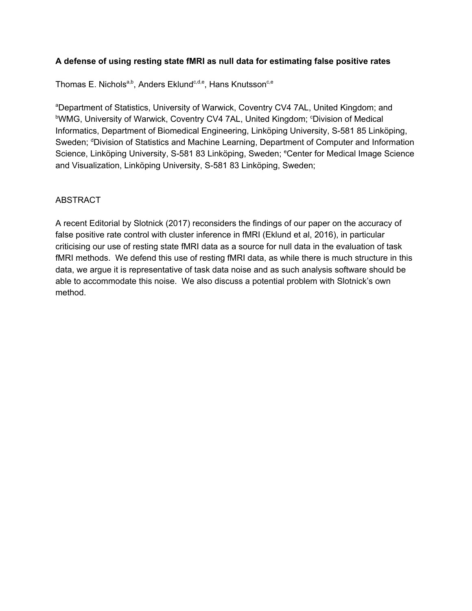## **A defense of using resting state fMRI as null data for estimating false positive rates**

Thomas E. Nichols<sup>a,b</sup>, Anders Eklund<sup>c,d,e</sup>, Hans Knutsson<sup>c,e</sup>

<sup>a</sup>Department of Statistics, University of Warwick, Coventry CV4 7AL, United Kingdom; and <sup>b</sup>WMG, University of Warwick, Coventry CV4 7AL, United Kingdom; CDivision of Medical Informatics, Department of Biomedical Engineering, Linköping University, S-581 85 Linköping, Sweden; <sup>d</sup>Division of Statistics and Machine Learning, Department of Computer and Information Science, Linköping University, S-581 83 Linköping, Sweden; <sup>e</sup>Center for Medical Image Science and Visualization, Linköping University, S-581 83 Linköping, Sweden;

## ABSTRACT

A recent Editorial by Slotnick (2017) reconsiders the findings of our paper on the accuracy of false positive rate control with cluster inference in fMRI (Eklund et al, 2016), in particular criticising our use of resting state fMRI data as a source for null data in the evaluation of task fMRI methods. We defend this use of resting fMRI data, as while there is much structure in this data, we argue it is representative of task data noise and as such analysis software should be able to accommodate this noise. We also discuss a potential problem with Slotnick's own method.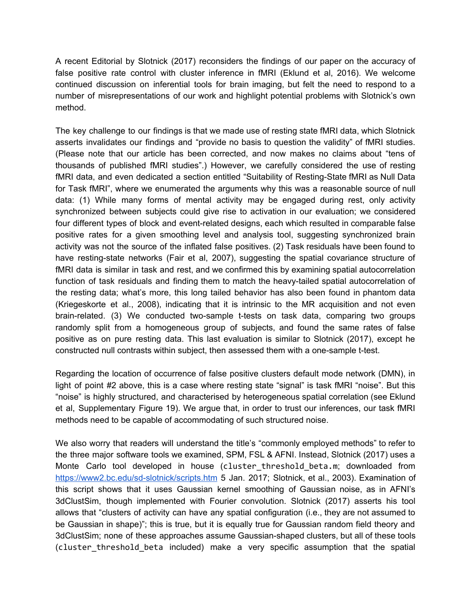A recent Editorial by Slotnick (2017) reconsiders the findings of our paper on the accuracy of false positive rate control with cluster inference in fMRI (Eklund et al, 2016). We welcome continued discussion on inferential tools for brain imaging, but felt the need to respond to a number of misrepresentations of our work and highlight potential problems with Slotnick's own method.

The key challenge to our findings is that we made use of resting state fMRI data, which Slotnick asserts invalidates our findings and "provide no basis to question the validity" of fMRI studies. (Please note that our article has been corrected, and now makes no claims about "tens of thousands of published fMRI studies".) However, we carefully considered the use of resting fMRI data, and even dedicated a section entitled "Suitability of Resting-State fMRI as Null Data for Task fMRI", where we enumerated the arguments why this was a reasonable source of null data: (1) While many forms of mental activity may be engaged during rest, only activity synchronized between subjects could give rise to activation in our evaluation; we considered four different types of block and event-related designs, each which resulted in comparable false positive rates for a given smoothing level and analysis tool, suggesting synchronized brain activity was not the source of the inflated false positives. (2) Task residuals have been found to have resting-state networks (Fair et al, 2007), suggesting the spatial covariance structure of fMRI data is similar in task and rest, and we confirmed this by examining spatial autocorrelation function of task residuals and finding them to match the heavy-tailed spatial autocorrelation of the resting data; what's more, this long tailed behavior has also been found in phantom data (Kriegeskorte et al., 2008), indicating that it is intrinsic to the MR acquisition and not even brain-related. (3) We conducted two-sample t-tests on task data, comparing two groups randomly split from a homogeneous group of subjects, and found the same rates of false positive as on pure resting data. This last evaluation is similar to Slotnick (2017), except he constructed null contrasts within subject, then assessed them with a one-sample t-test.

Regarding the location of occurrence of false positive clusters default mode network (DMN), in light of point #2 above, this is a case where resting state "signal" is task fMRI "noise". But this "noise" is highly structured, and characterised by heterogeneous spatial correlation (see Eklund et al, Supplementary Figure 19). We argue that, in order to trust our inferences, our task fMRI methods need to be capable of accommodating of such structured noise.

We also worry that readers will understand the title's "commonly employed methods" to refer to the three major software tools we examined, SPM, FSL & AFNI. Instead, Slotnick (2017) uses a Monte Carlo tool developed in house (cluster\_threshold\_beta.m; downloaded from <https://www2.bc.edu/sd-slotnick/scripts.htm> 5 Jan. 2017; Slotnick, et al., 2003). Examination of this script shows that it uses Gaussian kernel smoothing of Gaussian noise, as in AFNI's 3dClustSim, though implemented with Fourier convolution. Slotnick (2017) asserts his tool allows that "clusters of activity can have any spatial configuration (i.e., they are not assumed to be Gaussian in shape)"; this is true, but it is equally true for Gaussian random field theory and 3dClustSim; none of these approaches assume Gaussian-shaped clusters, but all of these tools (cluster\_threshold\_beta included) make a very specific assumption that the spatial